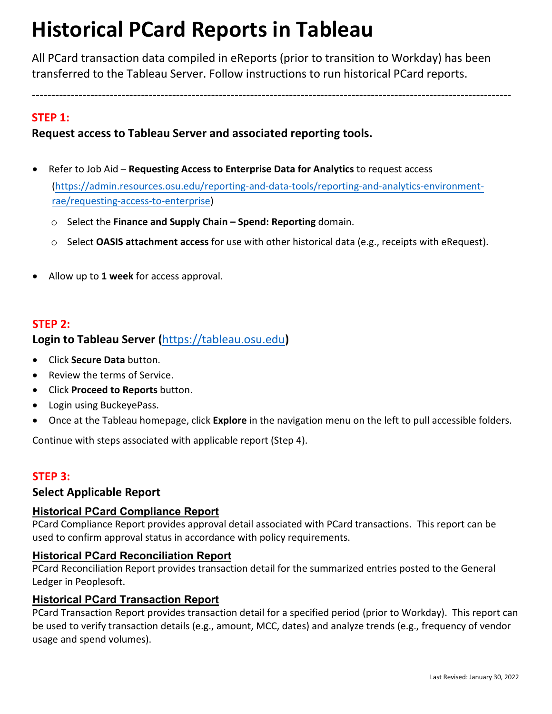# **Historical PCard Reports in Tableau**

All PCard transaction data compiled in eReports (prior to transition to Workday) has been transferred to the Tableau Server. Follow instructions to run historical PCard reports.

---------------------------------------------------------------------------------------------------------------------------

## **STEP 1:**

## **Request access to Tableau Server and associated reporting tools.**

- Refer to Job Aid **Requesting Access to Enterprise Data for Analytics** to request access (https://admin.resources.osu.edu/reporting-and-data-tools/reporting-and-analytics-environment[rae/requesting-access-to-enterprise\)](https://admin.resources.osu.edu/reporting-and-data-tools/reporting-and-analytics-environment-rae/requesting-access-to-enterprise) 
	- o Select the **[Finance and Suppl](https://admin.resources.osu.edu/reporting-and-data-tools/reporting-and-analytics-environment-rae/requesting-access-to-enterprise)y Chain Spend: Reporting** domain.
	- o Select **OASIS attachment access** for use with other historical data (e.g., receipts with eRequest).
- Allow up to **1 week** for access approval.

#### **STEP 2:**

## **Login to Tableau Server (**[https://tableau.osu.edu](https://tableau.osu.edu/)**)**

- Click **Secure Data** button.
- Review the terms of Service.
- Click **Proceed to Reports** button.
- Login using BuckeyePass.
- Once at the Tableau homepage, click **Explore** in the navigation menu on the left to pull accessible folders.

Continue with steps associated with applicable report (Step 4).

## **STEP 3:**

#### **Select Applicable Report**

#### **Historical PCard Compliance Report**

PCard Compliance Report provides approval detail associated with PCard transactions. This report can be used to confirm approval status in accordance with policy requirements.

#### **Historical PCard Reconciliation Report**

PCard Reconciliation Report provides transaction detail for the summarized entries posted to the General Ledger in Peoplesoft.

#### **Historical PCard Transaction Report**

PCard Transaction Report provides transaction detail for a specified period (prior to Workday). This report can be used to verify transaction details (e.g., amount, MCC, dates) and analyze trends (e.g., frequency of vendor usage and spend volumes).